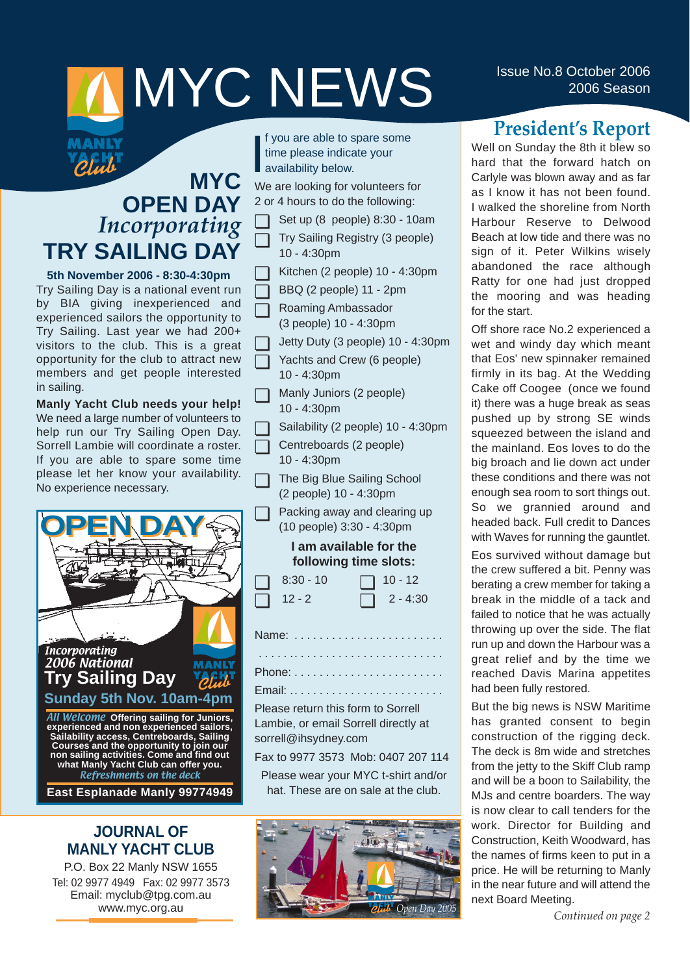# **ISSUE NO.8 October 2006** MYC NEWS 15Sue No.8 October 2006

## **MYC OPEN DAY** *Incorporating* **TRY SAILING DAY**

**MANLY PEN** 

**5th November 2006 - 8:30-4:30pm** Try Sailing Day is a national event run by BIA giving inexperienced and experienced sailors the opportunity to Try Sailing. Last year we had 200+ visitors to the club. This is a great opportunity for the club to attract new members and get people interested in sailing.

**Manly Yacht Club needs your help!** We need a large number of volunteers to help run our Try Sailing Open Day. Sorrell Lambie will coordinate a roster. If you are able to spare some time please let her know your availability. No experience necessary.



Refreshments on the deck

**East Esplanade Manly 99774949**

#### **JOURNAL OF MANLY YACHT CLUB**

P.O. Box 22 Manly NSW 1655 Tel: 02 9977 4949 Fax: 02 9977 3573 Email: myclub@tpg.com.au www.myc.org.au

I f you are able to sprint<br>time please indical<br>availability below. f you are able to spare some time please indicate your

We are looking for volunteers for 2 or 4 hours to do the following:

- ◯ Set up  $(8 \text{ people})$  8:30 10am
- ❏ Try Sailing Registry (3 people) 10 - 4:30pm
- ❏ Kitchen (2 people) 10 4:30pm
- ❏ BBQ (2 people) 11 2pm
- ❏ Roaming Ambassador (3 people) 10 - 4:30pm
- ❏ Jetty Duty (3 people) 10 4:30pm
	- Yachts and Crew (6 people) 10 - 4:30pm
- ❏ Manly Juniors (2 people) 10 - 4:30pm
	- Sailability (2 people) 10 4:30pm
- ❏ Centreboards (2 people) 10 - 4:30pm
- ❏ The Big Blue Sailing School (2 people) 10 - 4:30pm
- ❏ Packing away and clearing up (10 people) 3:30 - 4:30pm

#### **I am available for the following time slots:**

| $\Box$ 8:30 - 10 | $\Box$ 10 - 12  |
|------------------|-----------------|
| $\Box$ 12 - 2    | $\Box$ 2 - 4:30 |

Name: . . . . . . . . . . . . . . . . . . . . . . . . . . . . . .. . . . . . . . . . . . . . . . . . . . . . . .

Phone: . . . . . . . . . . . . . . . . . . . . . . . .

Email: .. . . . . . . . . . . . . . . . . . . . . . . . Please return this form to Sorrell

Lambie, or email Sorrell directly at sorrell@ihsydney.com

Fax to 9977 3573 Mob: 0407 207 114

Please wear your MYC t-shirt and/or hat. These are on sale at the club.



## **President's Report**

Well on Sunday the 8th it blew so hard that the forward hatch on Carlyle was blown away and as far as I know it has not been found. I walked the shoreline from North Harbour Reserve to Delwood Beach at low tide and there was no sign of it. Peter Wilkins wisely abandoned the race although Ratty for one had just dropped the mooring and was heading for the start.

Off shore race No.2 experienced a wet and windy day which meant that Eos' new spinnaker remained firmly in its bag. At the Wedding Cake off Coogee (once we found it) there was a huge break as seas pushed up by strong SE winds squeezed between the island and the mainland. Eos loves to do the big broach and lie down act under these conditions and there was not enough sea room to sort things out. So we grannied around and headed back. Full credit to Dances with Waves for running the gauntlet.

Eos survived without damage but the crew suffered a bit. Penny was berating a crew member for taking a break in the middle of a tack and failed to notice that he was actually throwing up over the side. The flat run up and down the Harbour was a great relief and by the time we reached Davis Marina appetites had been fully restored.

But the big news is NSW Maritime has granted consent to begin construction of the rigging deck. The deck is 8m wide and stretches from the jetty to the Skiff Club ramp and will be a boon to Sailability, the MJs and centre boarders. The way is now clear to call tenders for the work. Director for Building and Construction, Keith Woodward, has the names of firms keen to put in a price. He will be returning to Manly in the near future and will attend the next Board Meeting.

*Continued on page 2*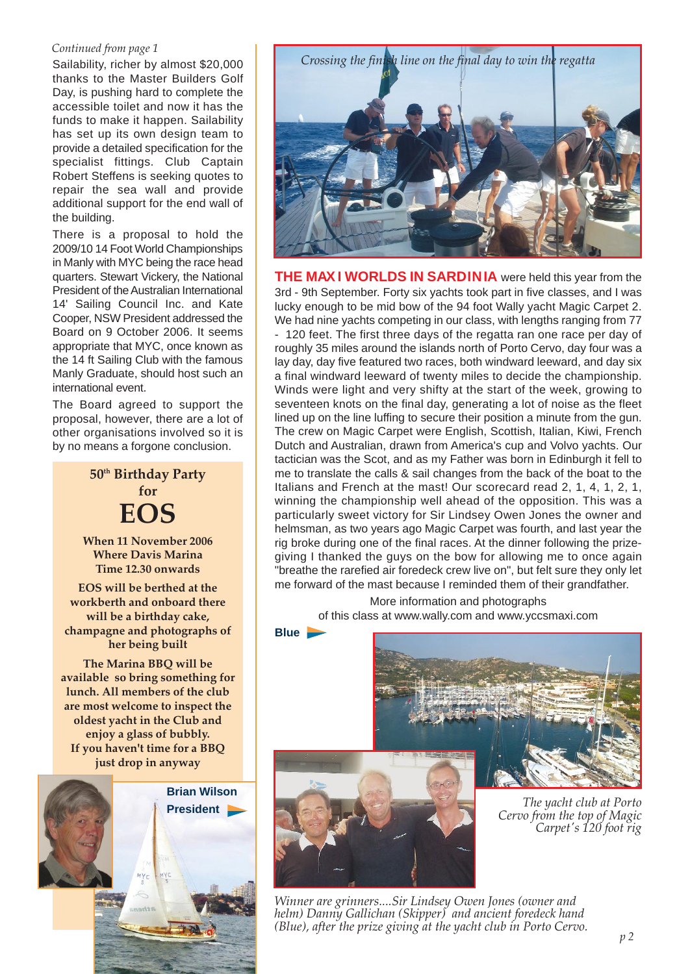#### *Continued from page 1*

Sailability, richer by almost \$20,000 thanks to the Master Builders Golf Day, is pushing hard to complete the accessible toilet and now it has the funds to make it happen. Sailability has set up its own design team to provide a detailed specification for the specialist fittings. Club Captain Robert Steffens is seeking quotes to repair the sea wall and provide additional support for the end wall of the building.

There is a proposal to hold the 2009/10 14 Foot World Championships in Manly with MYC being the race head quarters. Stewart Vickery, the National President of the Australian International 14' Sailing Council Inc. and Kate Cooper, NSW President addressed the Board on 9 October 2006. It seems appropriate that MYC, once known as the 14 ft Sailing Club with the famous Manly Graduate, should host such an international event.

The Board agreed to support the proposal, however, there are a lot of other organisations involved so it is by no means a forgone conclusion.

> **50th Birthday Party for EOS**

**When 11 November 2006 Where Davis Marina Time 12.30 onwards**

**EOS will be berthed at the workberth and onboard there will be a birthday cake, champagne and photographs of her being built**

**The Marina BBQ will be available so bring something for lunch. All members of the club are most welcome to inspect the oldest yacht in the Club and enjoy a glass of bubbly. If you haven't time for a BBQ just drop in anyway**





**THE MAX I WORLDS IN SARDINIA** were held this year from the 3rd - 9th September. Forty six yachts took part in five classes, and I was lucky enough to be mid bow of the 94 foot Wally yacht Magic Carpet 2. We had nine yachts competing in our class, with lengths ranging from 77 - 120 feet. The first three days of the regatta ran one race per day of roughly 35 miles around the islands north of Porto Cervo, day four was a lay day, day five featured two races, both windward leeward, and day six a final windward leeward of twenty miles to decide the championship. Winds were light and very shifty at the start of the week, growing to seventeen knots on the final day, generating a lot of noise as the fleet lined up on the line luffing to secure their position a minute from the gun. The crew on Magic Carpet were English, Scottish, Italian, Kiwi, French Dutch and Australian, drawn from America's cup and Volvo yachts. Our tactician was the Scot, and as my Father was born in Edinburgh it fell to me to translate the calls & sail changes from the back of the boat to the Italians and French at the mast! Our scorecard read 2, 1, 4, 1, 2, 1, winning the championship well ahead of the opposition. This was a particularly sweet victory for Sir Lindsey Owen Jones the owner and helmsman, as two years ago Magic Carpet was fourth, and last year the rig broke during one of the final races. At the dinner following the prizegiving I thanked the guys on the bow for allowing me to once again "breathe the rarefied air foredeck crew live on", but felt sure they only let me forward of the mast because I reminded them of their grandfather.

> More information and photographs of this class at www.wally.com and www.yccsmaxi.com



*The yacht club at Porto Cervo from the top of Magic Carpet's 120 foot rig*

*Winner are grinners....Sir Lindsey Owen Jones (owner and helm) Danny Gallichan (Skipper) and ancient foredeck hand (Blue), after the prize giving at the yacht club in Porto Cervo.*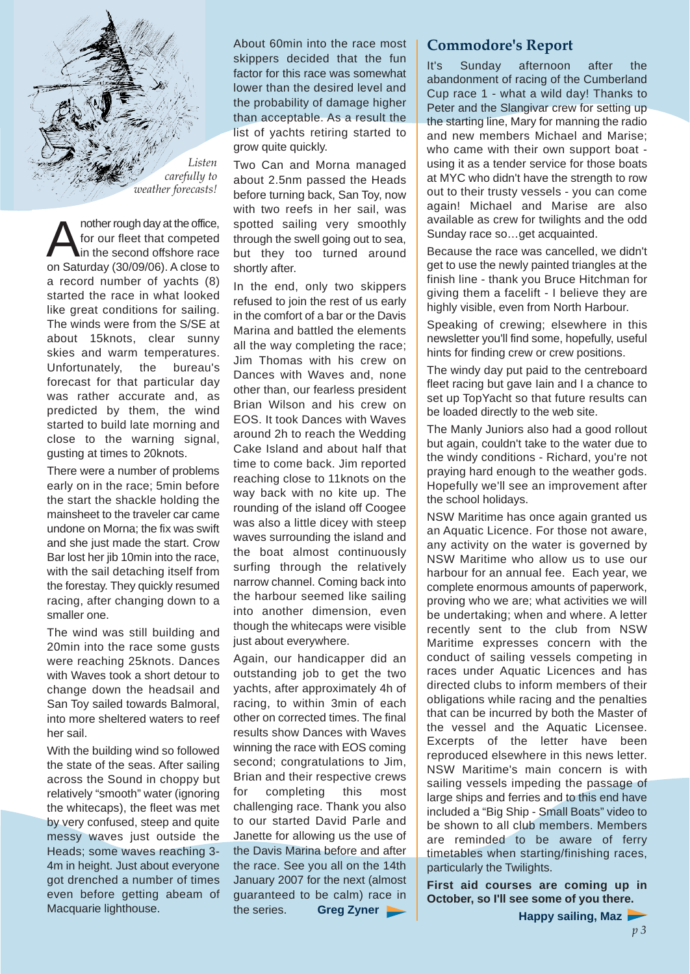

Another rough day at the office,<br>for our fleet that competed<br>on Seturday (20/00/06), A glass to for our fleet that competed in the second offshore race on Saturday (30/09/06). A close to a record number of yachts (8) started the race in what looked like great conditions for sailing. The winds were from the S/SE at about 15knots, clear sunny skies and warm temperatures. Unfortunately, the bureau's forecast for that particular day was rather accurate and, as predicted by them, the wind started to build late morning and close to the warning signal, gusting at times to 20knots.

There were a number of problems early on in the race; 5min before the start the shackle holding the mainsheet to the traveler car came undone on Morna; the fix was swift and she just made the start. Crow Bar lost her jib 10min into the race, with the sail detaching itself from the forestay. They quickly resumed racing, after changing down to a smaller one.

The wind was still building and 20min into the race some gusts were reaching 25knots. Dances with Waves took a short detour to change down the headsail and San Toy sailed towards Balmoral, into more sheltered waters to reef her sail.

With the building wind so followed the state of the seas. After sailing across the Sound in choppy but relatively "smooth" water (ignoring the whitecaps), the fleet was met by very confused, steep and quite messy waves just outside the Heads; some waves reaching 3- 4m in height. Just about everyone got drenched a number of times even before getting abeam of Macquarie lighthouse.

About 60min into the race most skippers decided that the fun factor for this race was somewhat lower than the desired level and the probability of damage higher than acceptable. As a result the list of yachts retiring started to grow quite quickly.

Two Can and Morna managed about 2.5nm passed the Heads before turning back, San Toy, now with two reefs in her sail, was spotted sailing very smoothly through the swell going out to sea, but they too turned around shortly after.

In the end, only two skippers refused to join the rest of us early in the comfort of a bar or the Davis Marina and battled the elements all the way completing the race; Jim Thomas with his crew on Dances with Waves and, none other than, our fearless president Brian Wilson and his crew on EOS. It took Dances with Waves around 2h to reach the Wedding Cake Island and about half that time to come back. Jim reported reaching close to 11knots on the way back with no kite up. The rounding of the island off Coogee was also a little dicey with steep waves surrounding the island and the boat almost continuously surfing through the relatively narrow channel. Coming back into the harbour seemed like sailing into another dimension, even though the whitecaps were visible just about everywhere.

Again, our handicapper did an outstanding job to get the two yachts, after approximately 4h of racing, to within 3min of each other on corrected times. The final results show Dances with Waves winning the race with EOS coming second; congratulations to Jim, Brian and their respective crews for completing this most challenging race. Thank you also to our started David Parle and Janette for allowing us the use of the Davis Marina before and after the race. See you all on the 14th January 2007 for the next (almost guaranteed to be calm) race in the series. **Greg Zyner**

#### **Commodore's Report**

It's Sunday afternoon after the abandonment of racing of the Cumberland Cup race 1 - what a wild day! Thanks to Peter and the Slangivar crew for setting up the starting line, Mary for manning the radio and new members Michael and Marise; who came with their own support boat using it as a tender service for those boats at MYC who didn't have the strength to row out to their trusty vessels - you can come again! Michael and Marise are also available as crew for twilights and the odd Sunday race so…get acquainted.

Because the race was cancelled, we didn't get to use the newly painted triangles at the finish line - thank you Bruce Hitchman for giving them a facelift - I believe they are highly visible, even from North Harbour.

Speaking of crewing; elsewhere in this newsletter you'll find some, hopefully, useful hints for finding crew or crew positions.

The windy day put paid to the centreboard fleet racing but gave Iain and I a chance to set up TopYacht so that future results can be loaded directly to the web site.

The Manly Juniors also had a good rollout but again, couldn't take to the water due to the windy conditions - Richard, you're not praying hard enough to the weather gods. Hopefully we'll see an improvement after the school holidays.

NSW Maritime has once again granted us an Aquatic Licence. For those not aware, any activity on the water is governed by NSW Maritime who allow us to use our harbour for an annual fee. Each year, we complete enormous amounts of paperwork, proving who we are; what activities we will be undertaking; when and where. A letter recently sent to the club from NSW Maritime expresses concern with the conduct of sailing vessels competing in races under Aquatic Licences and has directed clubs to inform members of their obligations while racing and the penalties that can be incurred by both the Master of the vessel and the Aquatic Licensee. Excerpts of the letter have been reproduced elsewhere in this news letter. NSW Maritime's main concern is with sailing vessels impeding the passage of large ships and ferries and to this end have included a "Big Ship - Small Boats" video to be shown to all club members. Members are reminded to be aware of ferry timetables when starting/finishing races, particularly the Twilights.

**First aid courses are coming up in October, so I'll see some of you there.** 

**Happy sailing, Maz**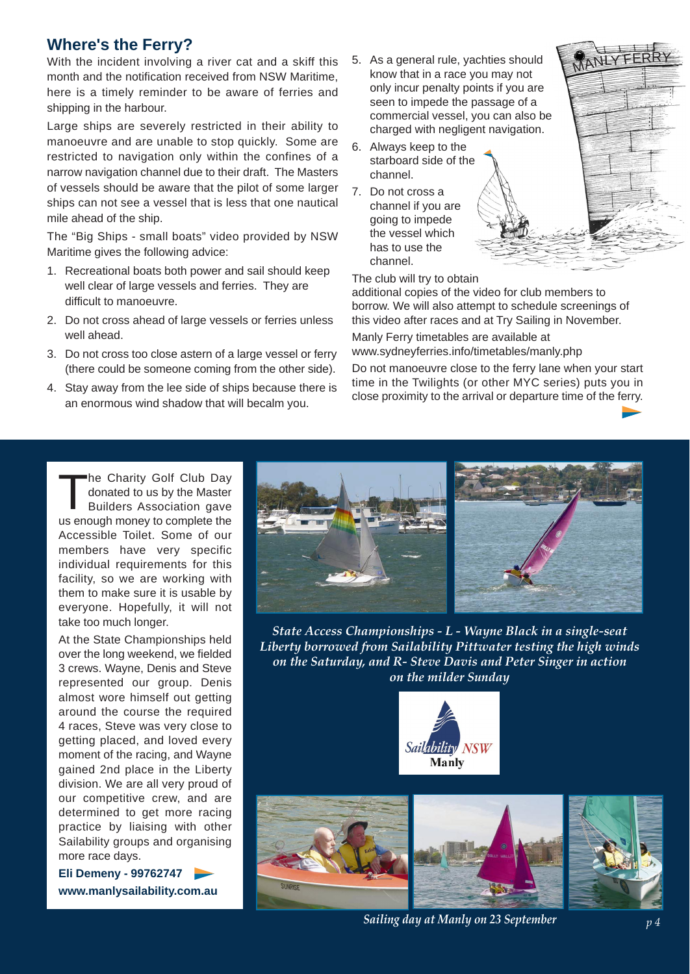#### **Where's the Ferry?**

With the incident involving a river cat and a skiff this month and the notification received from NSW Maritime, here is a timely reminder to be aware of ferries and shipping in the harbour.

Large ships are severely restricted in their ability to manoeuvre and are unable to stop quickly. Some are restricted to navigation only within the confines of a narrow navigation channel due to their draft. The Masters of vessels should be aware that the pilot of some larger ships can not see a vessel that is less that one nautical mile ahead of the ship.

The "Big Ships - small boats" video provided by NSW Maritime gives the following advice:

- 1. Recreational boats both power and sail should keep well clear of large vessels and ferries. They are difficult to manoeuvre.
- 2. Do not cross ahead of large vessels or ferries unless well ahead.
- 3. Do not cross too close astern of a large vessel or ferry (there could be someone coming from the other side).
- 4. Stay away from the lee side of ships because there is an enormous wind shadow that will becalm you.
- 5. As a general rule, yachties should know that in a race you may not only incur penalty points if you are seen to impede the passage of a commercial vessel, you can also be charged with negligent navigation.
- 6. Always keep to the starboard side of the channel.
- 7. Do not cross a channel if you are going to impede the vessel which has to use the channel.



The club will try to obtain

additional copies of the video for club members to borrow. We will also attempt to schedule screenings of this video after races and at Try Sailing in November. Manly Ferry timetables are available at www.sydneyferries.info/timetables/manly.php

Do not manoeuvre close to the ferry lane when your start time in the Twilights (or other MYC series) puts you in close proximity to the arrival or departure time of the ferry.

The Charity Golf Club Day donated to us by the Master Builders Association gave us enough money to complete the Accessible Toilet. Some of our members have very specific individual requirements for this facility, so we are working with them to make sure it is usable by everyone. Hopefully, it will not take too much longer.

At the State Championships held over the long weekend, we fielded 3 crews. Wayne, Denis and Steve represented our group. Denis almost wore himself out getting around the course the required 4 races, Steve was very close to getting placed, and loved every moment of the racing, and Wayne gained 2nd place in the Liberty division. We are all very proud of our competitive crew, and are determined to get more racing practice by liaising with other Sailability groups and organising more race days.

**Eli Demeny - 99762747 www.manlysailability.com.au**



*State Access Championships - L - Wayne Black in a single-seat Liberty borrowed from Sailability Pittwater testing the high winds on the Saturday, and R- Steve Davis and Peter Singer in action on the milder Sunday*





*Sailing day at Manly on 23 September*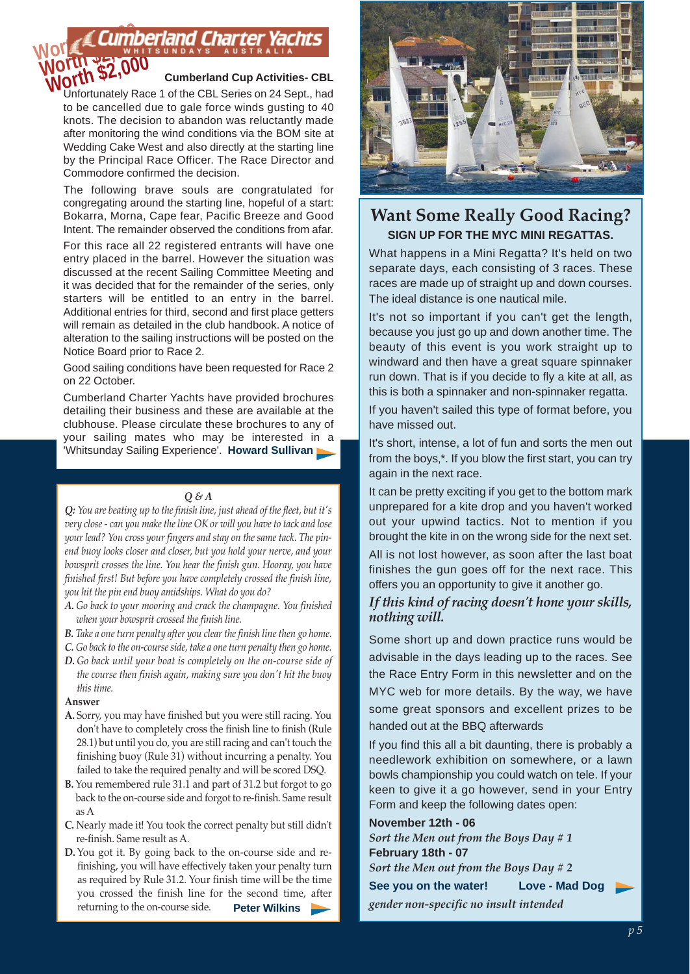#### **Cumberland Cup Activities- CBL WOTUN \$2,000**<br>
Unfortunately Race 1 of the CBL Series on 24 Sept., had Cumberland Cl **Worth \$2,000**

to be cancelled due to gale force winds gusting to 40 knots. The decision to abandon was reluctantly made after monitoring the wind conditions via the BOM site at Wedding Cake West and also directly at the starting line by the Principal Race Officer. The Race Director and Commodore confirmed the decision.

The following brave souls are congratulated for congregating around the starting line, hopeful of a start: Bokarra, Morna, Cape fear, Pacific Breeze and Good Intent. The remainder observed the conditions from afar.

For this race all 22 registered entrants will have one entry placed in the barrel. However the situation was discussed at the recent Sailing Committee Meeting and it was decided that for the remainder of the series, only starters will be entitled to an entry in the barrel. Additional entries for third, second and first place getters will remain as detailed in the club handbook. A notice of alteration to the sailing instructions will be posted on the Notice Board prior to Race 2.

Good sailing conditions have been requested for Race 2 on 22 October.

Cumberland Charter Yachts have provided brochures detailing their business and these are available at the clubhouse. Please circulate these brochures to any of your sailing mates who may be interested in a 'Whitsunday Sailing Experience'. **Howard Sullivan**

#### *Q & A*

*Q: You are beating up to the finish line, just ahead of the fleet, but it's very close - can you make the line OK or will you have to tack and lose your lead? You cross your fingers and stay on the same tack. The pinend buoy looks closer and closer, but you hold your nerve, and your bowsprit crosses the line. You hear the finish gun. Hooray, you have finished first! But before you have completely crossed the finish line, you hit the pin end buoy amidships. What do you do?*

- *A. Go back to your mooring and crack the champagne. You finished when your bowsprit crossed the finish line.*
- *B. Take a one turn penalty after you clear the finish line then go home.*
- *C. Go back to the on-course side, take a one turn penalty then go home.*
- *D. Go back until your boat is completely on the on-course side of the course then finish again, making sure you don't hit the buoy this time.*

#### **Answer**

- **A.** Sorry, you may have finished but you were still racing. You don't have to completely cross the finish line to finish (Rule 28.1) but until you do, you are still racing and can't touch the finishing buoy (Rule 31) without incurring a penalty. You failed to take the required penalty and will be scored DSQ.
- **B.** You remembered rule 31.1 and part of 31.2 but forgot to go back to the on-course side and forgot to re-finish. Same result as A
- **C.** Nearly made it! You took the correct penalty but still didn't re-finish. Same result as A.
- **D.** You got it. By going back to the on-course side and refinishing, you will have effectively taken your penalty turn as required by Rule 31.2. Your finish time will be the time you crossed the finish line for the second time, after returning to the on-course side. **Peter Wilkins**



#### **Want Some Really Good Racing? SIGN UP FOR THE MYC MINI REGATTAS.**

What happens in a Mini Regatta? It's held on two separate days, each consisting of 3 races. These races are made up of straight up and down courses. The ideal distance is one nautical mile.

It's not so important if you can't get the length, because you just go up and down another time. The beauty of this event is you work straight up to windward and then have a great square spinnaker run down. That is if you decide to fly a kite at all, as this is both a spinnaker and non-spinnaker regatta.

If you haven't sailed this type of format before, you have missed out.

It's short, intense, a lot of fun and sorts the men out from the boys,\*. If you blow the first start, you can try again in the next race.

It can be pretty exciting if you get to the bottom mark unprepared for a kite drop and you haven't worked out your upwind tactics. Not to mention if you brought the kite in on the wrong side for the next set.

All is not lost however, as soon after the last boat finishes the gun goes off for the next race. This offers you an opportunity to give it another go.

#### *If this kind of racing doesn't hone your skills, nothing will.*

Some short up and down practice runs would be advisable in the days leading up to the races. See the Race Entry Form in this newsletter and on the MYC web for more details. By the way, we have some great sponsors and excellent prizes to be handed out at the BBQ afterwards

If you find this all a bit daunting, there is probably a needlework exhibition on somewhere, or a lawn bowls championship you could watch on tele. If your keen to give it a go however, send in your Entry Form and keep the following dates open:

#### **November 12th - 06**

*Sort the Men out from the Boys Day # 1* **February 18th - 07** *Sort the Men out from the Boys Day # 2* **See you on the water! Love - Mad Dog** *gender non-specific no insult intended*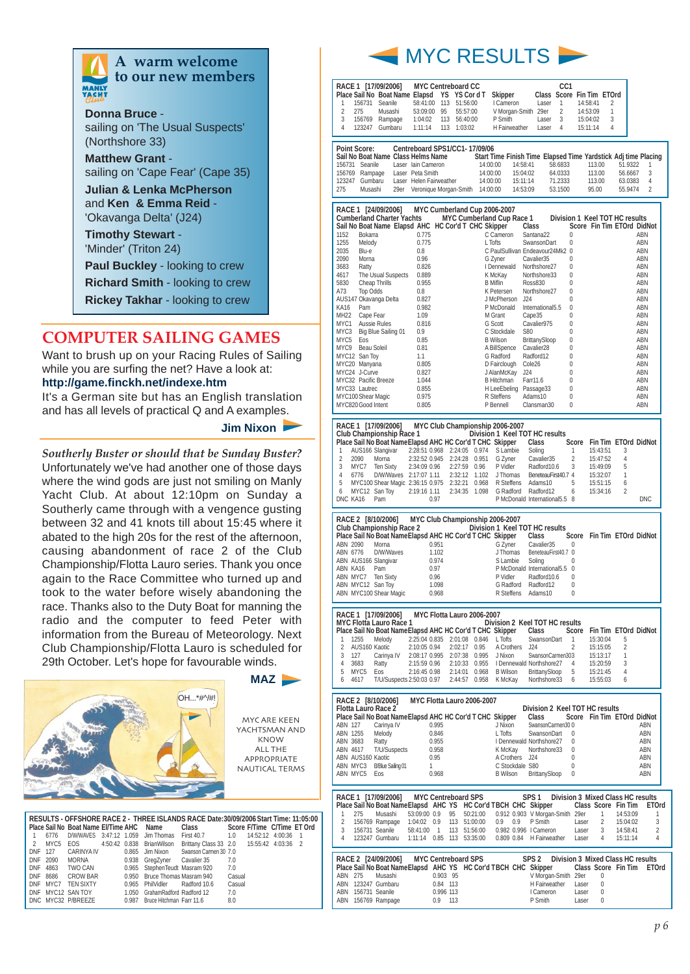

**A warm welcome to our new members**

**Donna Bruce** sailing on 'The Usual Suspects' (Northshore 33)

**Matthew Grant** sailing on 'Cape Fear' (Cape 35)

**Julian & Lenka McPherson** and **Ken & Emma Reid** - 'Okavanga Delta' (J24)

**Timothy Stewart** - 'Minder' (Triton 24)

**Paul Buckley** - looking to crew

**Richard Smith** - looking to crew

**Rickey Takhar** - looking to crew

#### **COMPUTER SAILING GAMES**

Want to brush up on your Racing Rules of Sailing while you are surfing the net? Have a look at: **http://game.finckh.net/indexe.htm**

It's a German site but has an English translation and has all levels of practical Q and A examples.

#### **Jim Nixon**

*Southerly Buster or should that be Sunday Buster?* Unfortunately we've had another one of those days where the wind gods are just not smiling on Manly Yacht Club. At about 12:10pm on Sunday a Southerly came through with a vengence gusting between 32 and 41 knots till about 15:45 where it abated to the high 20s for the rest of the afternoon, causing abandonment of race 2 of the Club Championship/Flotta Lauro series. Thank you once again to the Race Committee who turned up and took to the water before wisely abandoning the race. Thanks also to the Duty Boat for manning the radio and the computer to feed Peter with information from the Bureau of Meteorology. Next Club Championship/Flotta Lauro is scheduled for 29th October. Let's hope for favourable winds.



|               |          | Place Sail No Boat Name El/Time AHC Name |       |                               | RESULTS - OFFSHORE RACE 2 - THREE ISLANDS RACE Date:30/09/2006 Start Time: 11:05:00<br>Class |        | Score F/Time C/Time ET Ord |    |
|---------------|----------|------------------------------------------|-------|-------------------------------|----------------------------------------------------------------------------------------------|--------|----------------------------|----|
|               | 6776     | D/W/WAVES 3:47:12 1.059                  |       | Jim Thomas                    | First 40.7 1.0                                                                               |        | 14:52:12 4:00:36           | -1 |
| $\mathcal{P}$ | MYC5     | EOS.                                     |       | 4:50:42  0.838  BrianWilson   | Brittany Class 33 2.0 15:55:42 4:03:36 2                                                     |        |                            |    |
| DNF 127       |          | CARINYA IV                               | 0.865 |                               | Jim Nixon Swanson Carmen 30 7.0                                                              |        |                            |    |
|               | DNF 2090 | <b>MORNA</b>                             |       | 0.938 GregZyner Cavalier 35   |                                                                                              | 7.0    |                            |    |
|               | DNF 4863 | TWO CAN                                  |       | 0.965 StephenTeudt Masram 920 |                                                                                              | 7.0    |                            |    |
|               | DNF 8686 | <b>CROW BAR</b>                          |       | 0.950 Bruce Thomas Masram 940 |                                                                                              | Casual |                            |    |
|               | DNF MYC7 | <b>TEN SIXTY</b>                         |       | 0.965 PhilVidler Radford 10.6 |                                                                                              | Casual |                            |    |
|               |          | DNF MYC12 SAN TOY                        | 1.050 | GrahamRadford Radford 12      |                                                                                              | 7.0    |                            |    |
|               |          | DNC MYC32 P/BREEZE                       | 0.987 | Bruce Hitchman Farr 11.6      |                                                                                              | 8.0    |                            |    |



|        |                     | RACE 1 [17/09/2006] | <b>MYC Centreboard CC</b>                   |     |          |          |                                                                |       | CC <sub>1</sub>           |          |   |         |                |  |
|--------|---------------------|---------------------|---------------------------------------------|-----|----------|----------|----------------------------------------------------------------|-------|---------------------------|----------|---|---------|----------------|--|
|        |                     |                     | Place Sail No Boat Name Elapsd YS YS Cord T |     |          |          | Skipper                                                        |       | Class Score Fin Tim ETOrd |          |   |         |                |  |
|        | 156731              | Seanile             | 58:41:00                                    | 113 | 51:56:00 |          | I Cameron                                                      | Laser | 1                         | 14:58:41 | 2 |         |                |  |
| 2      | 275                 | Musashi             | 53:09:00                                    | 95  | 55:57:00 |          | V Morgan-Smith                                                 | 29er  | 2                         | 14:53:09 | 1 |         |                |  |
| 3      | 156769              | Rampage             | 1:04:02                                     | 113 | 56:40:00 |          | P Smith                                                        | Laser | 3                         | 15:04:02 | 3 |         |                |  |
| 4      | 123247              | Gumbaru             | 1:11:14                                     | 113 | 1:03:02  |          | H Fairweather                                                  | Laser | 4                         | 15:11:14 | 4 |         |                |  |
|        |                     |                     |                                             |     |          |          |                                                                |       |                           |          |   |         |                |  |
|        | <b>Point Score:</b> |                     | Centreboard SPS1/CC1-17/09/06               |     |          |          |                                                                |       |                           |          |   |         |                |  |
|        |                     |                     | Sail No Boat Name Class Helms Name          |     |          |          | Start Time Finish Time Elapsed Time Yardstick Adj time Placing |       |                           |          |   |         |                |  |
| 156731 | Seanile             |                     | Laser Jain Cameron                          |     |          | 14:00:00 | 14:58:41                                                       |       | 58.6833                   | 113.00   |   | 51.9322 | 1              |  |
| 156769 | Rampage             |                     | Laser Peta Smith                            |     |          | 14:00:00 | 15:04:02                                                       |       | 64.0333                   | 113.00   |   | 56.6667 | - 3            |  |
| 123247 | Gumbaru             |                     | Laser Helen Fairweather                     |     |          | 14:00:00 | 15:11:14                                                       |       | 71.2333                   | 113.00   |   | 63.0383 | $\overline{4}$ |  |
| 275    | Musashi             |                     | 29er Veronique Morgan-Smith                 |     |          | 14:00:00 | 14:53:09                                                       |       | 53.1500                   | 95.00    |   | 55.9474 | $\overline{2}$ |  |

|               | RACE 1 [24/09/2006]<br><b>Cumberland Charter Yachts</b> | MYC Cumberland Cup 2006-2007<br>MYC Cumberland Cup Race 1 |                        |                               | Division 1 Keel TOT HC results |            |
|---------------|---------------------------------------------------------|-----------------------------------------------------------|------------------------|-------------------------------|--------------------------------|------------|
|               |                                                         | Sail No Boat Name Elapsd AHC HC Cor'd T CHC Skipper       |                        | Class                         | Score Fin Tim ETOrd DidNot     |            |
| 1152          | Bokarra                                                 | 0.775                                                     | C Cameron              | Santana22                     |                                | <b>ABN</b> |
|               |                                                         |                                                           |                        |                               | 0                              |            |
| 1255          | Melody                                                  | 0.775                                                     | L Tofts                | SwansonDart                   | $\Omega$                       | ABN        |
| 2035          | Blu-e                                                   | 0.8                                                       |                        | C PaulSullivan Endeavour24Mk2 | $\Omega$                       | <b>ABN</b> |
| 2090          | Moma                                                    | 0.96                                                      | G Zyner                | Cavalier35                    | 0                              | <b>ABN</b> |
| 3683          | Ratty                                                   | 0.826                                                     | I Dennewald            | Northshore27                  | 0                              | <b>ABN</b> |
| 4617          | The Usual Suspects                                      | 0.889                                                     | K McKay                | Northshore33                  | 0                              | <b>ABN</b> |
| 5830          | Cheap Thrills                                           | 0.955                                                     | <b>B</b> Miflin        | Ross830                       | 0                              | ABN        |
| A73           | Top Odds                                                | 0.8                                                       | K Petersen             | Northshore27                  | 0                              | <b>ABN</b> |
|               | AUS147 Okavanga Delta                                   | 0.827                                                     | J McPherson            | J24                           | 0                              | ABN        |
| <b>KA16</b>   | Pam                                                     | 0.982                                                     | P McDonald             | International5.5              | 0                              | ABN        |
| <b>MH22</b>   | Cape Fear                                               | 1.09                                                      | M Grant                | Cape35                        | 0                              | <b>ABN</b> |
| MYC1          | Aussie Rules                                            | 0.816                                                     | G Scott                | Cavalier975                   | 0                              | ABN        |
| MYC3          | Big Blue Sailing 01                                     | 0.9                                                       | C Stockdale            | S80                           | 0                              | ABN        |
| MYC5          | Eos                                                     | 0.85                                                      | <b>B</b> Wilson        | BrittanySloop                 | 0                              | <b>ABN</b> |
| MYC9          | Beau Soleil                                             | 0.81                                                      | A BillSpence           | Cavalier <sub>28</sub>        | 0                              | ABN        |
|               | MYC12 San Toy                                           | 1.1                                                       | G Radford              | Radford12                     | 0                              | ABN        |
|               | MYC20 Manyana                                           | 0.805                                                     | D Fairclough           | Cole <sub>26</sub>            | 0                              | ABN        |
|               | MYC24 J-Curve                                           | 0.827                                                     | J AlanMcKay            | J24                           | 0                              | <b>ABN</b> |
|               | MYC32 Pacific Breeze                                    | 1.044                                                     | <b>B</b> Hitchman      | Farr11.6                      | 0                              | ABN        |
| MYC33 Lautrec |                                                         | 0.855                                                     | H LeeEbeling Passage33 |                               | 0                              | ABN        |
|               | MYC100 Shear Magic                                      | 0.975                                                     | R Steffens             | Adams10                       | 0                              | <b>ABN</b> |
|               | MYC820 Good Intent                                      | 0.805                                                     | P Bennell              | Clansman30                    | 0                              | <b>ABN</b> |

|   |              | RACE 1 [17/09/2006] MYC Club Championship 2006-2007       |      |               |            | Club Championship Race 1 Division 1 Keel TOT HC results |                |                            |                |            |
|---|--------------|-----------------------------------------------------------|------|---------------|------------|---------------------------------------------------------|----------------|----------------------------|----------------|------------|
|   |              | Place Sail No Boat Name Elapsd AHC HC Cor'd T CHC Skipper |      |               |            | Class                                                   | Score          | Fin Tim ETOrd DidNot       |                |            |
|   |              | AUS166 Slangivar 2:28:51 0.968 2:24:05 0.974              |      |               | S Lambie   | Soling                                                  |                | 15:43:51                   | 3              |            |
| 2 | 2090         | Morna 2:32:52 0.945 2:24:28 0.951                         |      |               | G Zvner    | Cavalier35                                              | $\overline{2}$ | 15:47:52                   | 4              |            |
| 3 |              | MYC7 Ten Sixty 2:34:09 0.96 2:27:59 0.96                  |      |               | P Vidler   | Radford10.6 3                                           |                | 15:49:09                   | 5              |            |
| 4 | 6776         | D/W/Waves 2:17:07 1.11 2:32:12 1.102                      |      |               | J Thomas   | BeneteauFirst40.7 4                                     |                | 15:32:07                   |                |            |
| 5 |              | MYC100 Shear Magic 2:36:15 0.975 2:32:21 0.968            |      |               | R Steffens | Adams10                                                 | 5              | 15:51:15                   | 6              |            |
| 6 |              | MYC12 San Tov 2:19:16 1.11                                |      | 2:34:35 1.098 | G Radford  | Radford12                                               | 6              | 15:34:16                   | $\overline{2}$ |            |
|   | DNC KA16 Pam |                                                           | 0.97 |               |            | P McDonald International 5.5 8                          |                |                            |                | <b>DNC</b> |
|   |              |                                                           |      |               |            |                                                         |                |                            |                |            |
|   |              | RACE 2 [8/10/2006] MYC Club Championship 2006-2007        |      |               |            |                                                         |                |                            |                |            |
|   |              |                                                           |      |               |            | Club Championship Race 2 Division 1 Keel TOT HC results |                |                            |                |            |
|   |              | Place Sail No Boat Name Elapsd AHC HC Cor'd T CHC Skipper |      |               |            | Class                                                   |                | Score Fin Tim ETOrd DidNot |                |            |

|                 |                        | Place Sail No Boat NameElapsd AHC HC Cor'd T CHC Skipper |                     | Class                         | Score Fin Tim ETOrd DidNot |  |
|-----------------|------------------------|----------------------------------------------------------|---------------------|-------------------------------|----------------------------|--|
| ABN 2090        | Morna                  | 0.951                                                    | G Zvner             | Cavalier35                    |                            |  |
| <b>ABN 6776</b> | D/W/Waves              | 1.102                                                    | J Thomas            | BeneteauFirst40.7 0           |                            |  |
|                 | ABN AUS166 Slangivar   | 0.974                                                    | S Lambie            | Solina                        |                            |  |
| ABN KA16        | Pam                    | 0.97                                                     |                     | P McDonald International5.5 0 |                            |  |
|                 | ABN MYC7 Ten Sixty     | 0.96                                                     | P Vidler            | Radford10.6                   |                            |  |
|                 | ABN MYC12 San Toy      | 1.098                                                    | G Radford Radford12 |                               |                            |  |
|                 | ABN MYC100 Shear Magic | 0.968                                                    | R Steffens          | Adams10                       |                            |  |
|                 |                        |                                                          |                     |                               |                            |  |

|                |      | RACE 1 [17/09/2006] MYC Flotta Lauro 2006-2007<br>MYC Flotta Lauro Race 1 |              |              |       |                                                | Division 2 Keel TOT HC results                 |                |                            |                |  |
|----------------|------|---------------------------------------------------------------------------|--------------|--------------|-------|------------------------------------------------|------------------------------------------------|----------------|----------------------------|----------------|--|
|                |      | Place Sail No Boat Name Elapsd AHC HC Cor'd T CHC Skipper                 |              |              |       |                                                | Class                                          |                | Score Fin Tim ETOrd DidNot |                |  |
|                | 1255 | Melodv                                                                    |              |              |       |                                                | 2:25:04 0.835 2:01:08 0.846 LTofts SwansonDart |                | 15:30:04                   | 5              |  |
| $\mathcal{P}$  |      | AUS160 Kaotic 2:10:05 0.94                                                |              | 2:02:17 0.95 |       | A Crothers                                     | J24                                            | $\overline{2}$ | 15:15:05                   | $\overline{2}$ |  |
| 3              | 127  |                                                                           |              |              |       | Carinya IV 2:08:17 0.995 2:07:38 0.995 J Nixon | SwansonCarmen303                               |                | 15:13:17                   |                |  |
| $\overline{4}$ | 3683 | Ratty                                                                     | 2:15:59 0.96 |              |       |                                                | 2:10:33 0.955   Dennewald Northshore27         | $\overline{4}$ | 15:20:59                   | 3              |  |
| 5              | MYC5 | Eos                                                                       | 2:16:45 0.98 | 2:14:01      | 0.968 | <b>B</b> Wilson                                | BrittanySloop                                  | 5              | 15:21:45                   | 4              |  |
| 6.             | 4617 | T/U/Suspects 2:50:03 0.97 2:44:57 0.958                                   |              |              |       | K McKav                                        | Northshore33                                   | 6              | 15:55:03                   | 6              |  |

| RACE 2 [8/10/2006]  |                   |               |       | MYC Flotta Lauro 2006-2007                                      |                 |     |                                         |                |   |                                          |       |
|---------------------|-------------------|---------------|-------|-----------------------------------------------------------------|-----------------|-----|-----------------------------------------|----------------|---|------------------------------------------|-------|
| Flotta Lauro Race 2 |                   |               |       | Place Sail No Boat Name Elapsd AHC HC Cor'd T CHC Skipper       |                 |     | Division 2 Keel TOT HC results<br>Class |                |   | Score Fin Tim ETOrd DidNot               |       |
| ABN 127             | Carinva IV        |               | 0.995 |                                                                 | J Nixon         |     | SwansonCarmen300                        |                |   |                                          | ABN   |
| ABN 1255            | Melody            |               | 0.846 |                                                                 | $L$ Tofts       |     | SwansonDart                             | $\overline{0}$ |   |                                          | ABN   |
| ABN 3683            | Ratty             |               | 0.955 |                                                                 |                 |     | I Dennewald Northshore27                | $\overline{0}$ |   |                                          | ABN   |
| ABN 4617            | T/U/Suspects      |               | 0.958 |                                                                 | K McKav         |     | Northshore33                            | $^{\circ}$     |   |                                          | ABN   |
| ABN AUS160 Kaotic   |                   |               | 0.95  |                                                                 | A Crothers      |     | J24                                     | 0              |   |                                          | ABN   |
| ABN MYC3            | B/Blue Sailing 01 |               | 1     |                                                                 | C Stockdale S80 |     |                                         |                |   |                                          | ABN   |
| ABN MYC5 Eos        |                   |               | 0.968 |                                                                 | B Wilson        |     | BrittanySloop                           | 0              |   |                                          | ABN   |
|                     |                   |               |       |                                                                 |                 |     |                                         |                |   |                                          |       |
|                     |                   |               |       |                                                                 |                 |     |                                         |                |   |                                          |       |
|                     |                   |               |       | RACE 1 [17/09/2006] MYC Centreboard SPS                         |                 |     | SPS 1                                   |                |   | <b>Division 3 Mixed Class HC results</b> |       |
|                     |                   |               |       | Place Sail No Boat Name Elapsd AHC YS HC Cor'd TBCH CHC Skipper |                 |     |                                         |                |   | Class Score Fin Tim                      | ETOrd |
| 275                 | Musashi           | 53:09:00 0.9  |       | 95<br>50:21:00                                                  |                 |     | 0.912 0.903 V Morgan-Smith 29er         |                | 1 | 14:53:09                                 |       |
| $\overline{2}$      | 156769 Rampage    | $1:04:02$ 0.9 |       | 113 51:00:00                                                    | 0.9             | 0.9 | P Smith                                 | Laser          | 2 | 15:04:02                                 | 3     |

|  | RACE 2 [24/09/2006] MYC Centreboard SPS<br>Place Sail No Boat Name Elapsd AHC YS HC Cor'd TBCH CHC Skipper Class Score Fin Tim ETOrd |           |  | SPS 2 Division 3 Mixed Class HC results |       |                |  |
|--|--------------------------------------------------------------------------------------------------------------------------------------|-----------|--|-----------------------------------------|-------|----------------|--|
|  | ABN 275 Musashi                                                                                                                      | 0.903 95  |  | V Morgan-Smith 29er                     |       |                |  |
|  | ABN 123247 Gumbaru                                                                                                                   | 0.84 113  |  | H Fairweather                           | Laser | $\overline{0}$ |  |
|  | ABN 156731 Seanile                                                                                                                   | 0.996 113 |  | I Cameron                               | Laser | $\Omega$       |  |
|  | ABN 156769 Rampage                                                                                                                   | $0.9$ 113 |  | P Smith                                 | Laser | $\Omega$       |  |

3 156731 Seanile 58:41:00 1 113 51:56:00 0.982 0.996 I Cameron Laser 3 14:58:41 2 4 123247 Gumbaru 1:11:14 0.85 113 53:35:00 0.809 0.84 H Fairweather Laser 4 15:11:14 4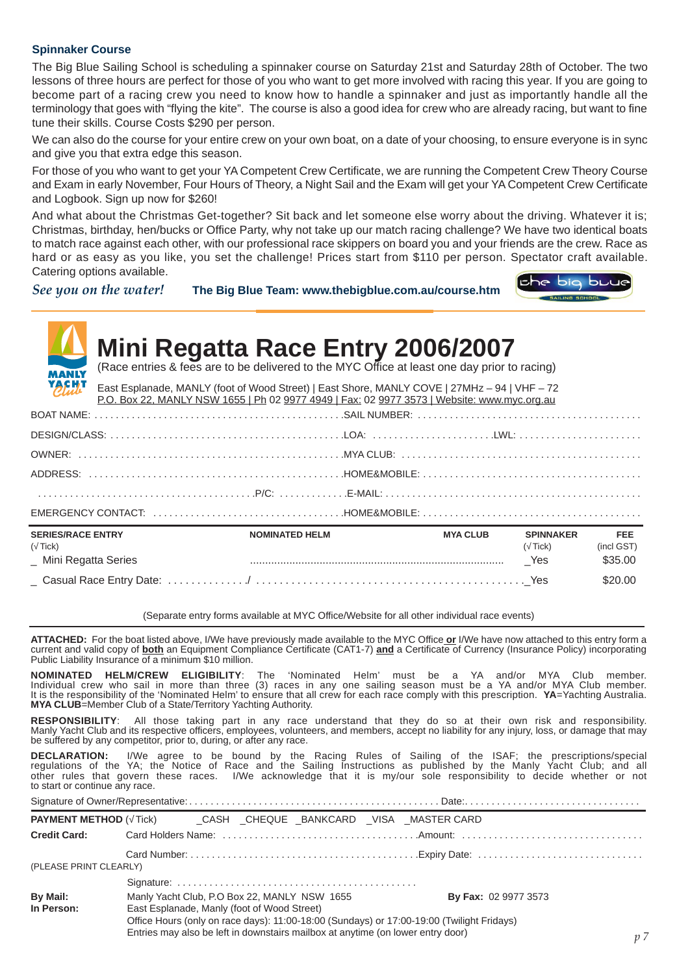#### **Spinnaker Course**

The Big Blue Sailing School is scheduling a spinnaker course on Saturday 21st and Saturday 28th of October. The two lessons of three hours are perfect for those of you who want to get more involved with racing this year. If you are going to become part of a racing crew you need to know how to handle a spinnaker and just as importantly handle all the terminology that goes with "flying the kite". The course is also a good idea for crew who are already racing, but want to fine tune their skills. Course Costs \$290 per person.

We can also do the course for your entire crew on your own boat, on a date of your choosing, to ensure everyone is in sync and give you that extra edge this season.

For those of you who want to get your YA Competent Crew Certificate, we are running the Competent Crew Theory Course and Exam in early November, Four Hours of Theory, a Night Sail and the Exam will get your YA Competent Crew Certificate and Logbook. Sign up now for \$260!

And what about the Christmas Get-together? Sit back and let someone else worry about the driving. Whatever it is; Christmas, birthday, hen/bucks or Office Party, why not take up our match racing challenge? We have two identical boats to match race against each other, with our professional race skippers on board you and your friends are the crew. Race as hard or as easy as you like, you set the challenge! Prices start from \$110 per person. Spectator craft available. Catering options available. iche big buue

*See you on the water!* **The Big Blue Team: www.thebigblue.com.au/course.htm**

| <b>MANLY</b><br><b>YACHI</b>                                | <b>Mini Regatta Race Entry 2006/2007</b><br>(Race entries & fees are to be delivered to the MYC Office at least one day prior to racing)<br>East Esplanade, MANLY (foot of Wood Street)   East Shore, MANLY COVE   27MHz - 94   VHF - 72<br>P.O. Box 22, MANLY NSW 1655   Ph 02 9977 4949   Fax: 02 9977 3573   Website: www.myc.org.au |                       |                 |                                   |                                     |
|-------------------------------------------------------------|-----------------------------------------------------------------------------------------------------------------------------------------------------------------------------------------------------------------------------------------------------------------------------------------------------------------------------------------|-----------------------|-----------------|-----------------------------------|-------------------------------------|
|                                                             |                                                                                                                                                                                                                                                                                                                                         |                       |                 |                                   |                                     |
|                                                             |                                                                                                                                                                                                                                                                                                                                         |                       |                 |                                   |                                     |
|                                                             |                                                                                                                                                                                                                                                                                                                                         |                       |                 |                                   |                                     |
|                                                             |                                                                                                                                                                                                                                                                                                                                         |                       |                 |                                   |                                     |
|                                                             |                                                                                                                                                                                                                                                                                                                                         |                       |                 |                                   |                                     |
|                                                             |                                                                                                                                                                                                                                                                                                                                         |                       |                 |                                   |                                     |
| <b>SERIES/RACE ENTRY</b><br>(Tick)<br>_ Mini Regatta Series |                                                                                                                                                                                                                                                                                                                                         | <b>NOMINATED HELM</b> | <b>MYA CLUB</b> | <b>SPINNAKER</b><br>(Tick)<br>Yes | <b>FEE</b><br>(incl GST)<br>\$35.00 |
|                                                             |                                                                                                                                                                                                                                                                                                                                         |                       |                 |                                   | \$20.00                             |

(Separate entry forms available at MYC Office/Website for all other individual race events)

**ATTACHED:** For the boat listed above, I/We have previously made available to the MYC Office **or** I/We have now attached to this entry form a current and valid copy of **both** an Equipment Compliance Certificate (CAT1-7) **and** a Certificate of Currency (Insurance Policy) incorporating Public Liability Insurance  $\overline{of}$  a minimum \$10 million.

**NOMINATED HELM/CREW ELIGIBILITY**: The 'Nominated Helm' must be a YA and/or MYA Club member. Individual crew who sail in more than three (3) races in any one sailing season must be a YA and/or MYA Club member. It is the responsibility of the 'Nominated Helm' to ensure that all crew for each race comply with this prescription. **YA**=Yachting Australia. **MYA CLUB**=Member Club of a State/Territory Yachting Authority.

**RESPONSIBILITY**: All those taking part in any race understand that they do so at their own risk and responsibility. Manly Yacht Club and its respective officers, employees, volunteers, and members, accept no liability for any injury, loss, or damage that may be suffered by any competitor, prior to, during, or after any race.

**DECLARATION:** I/We agree to be bound by the Racing Rules of Sailing of the ISAF; the prescriptions/special regulations of the YA; the Notice of Race and the Sailing Instructions as published by the Manly Yacht Club; and all other rules that govern these races. I/We acknowledge that it is my/our sole responsibility to decide whether or not to start or continue any race.

|                               |                                                                                                                            |  |  |  | <b>PAYMENT METHOD (Tick) CASH CHEQUE BANKCARD VISA MASTER CARD</b>                                                                                                           |                |  |  |  |  |  |  |
|-------------------------------|----------------------------------------------------------------------------------------------------------------------------|--|--|--|------------------------------------------------------------------------------------------------------------------------------------------------------------------------------|----------------|--|--|--|--|--|--|
|                               |                                                                                                                            |  |  |  |                                                                                                                                                                              |                |  |  |  |  |  |  |
|                               |                                                                                                                            |  |  |  |                                                                                                                                                                              |                |  |  |  |  |  |  |
| (PLEASE PRINT CLEARLY)        |                                                                                                                            |  |  |  |                                                                                                                                                                              |                |  |  |  |  |  |  |
|                               |                                                                                                                            |  |  |  |                                                                                                                                                                              |                |  |  |  |  |  |  |
| <b>By Mail:</b><br>In Person: | Manly Yacht Club, P.O Box 22, MANLY NSW 1655<br><b>By Fax: 02 9977 3573</b><br>East Esplanade, Manly (foot of Wood Street) |  |  |  |                                                                                                                                                                              |                |  |  |  |  |  |  |
|                               |                                                                                                                            |  |  |  | Office Hours (only on race days): 11:00-18:00 (Sundays) or 17:00-19:00 (Twilight Fridays)<br>Entries may also be left in downstairs mailbox at anytime (on lower entry door) | n <sub>7</sub> |  |  |  |  |  |  |